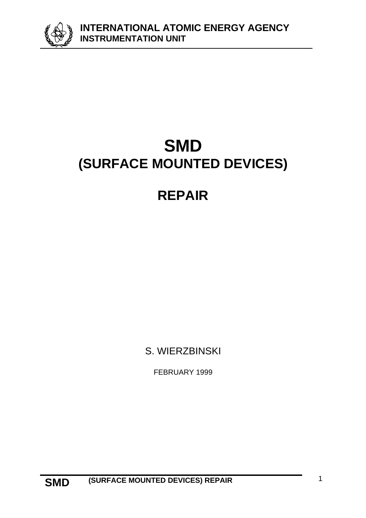**INTERNATIONAL ATOMIC ENERGY AGENCY INSTRUMENTATION UNIT**



# **SMD (SURFACE MOUNTED DEVICES)**

# **REPAIR**

S. WIERZBINSKI

FEBRUARY 1999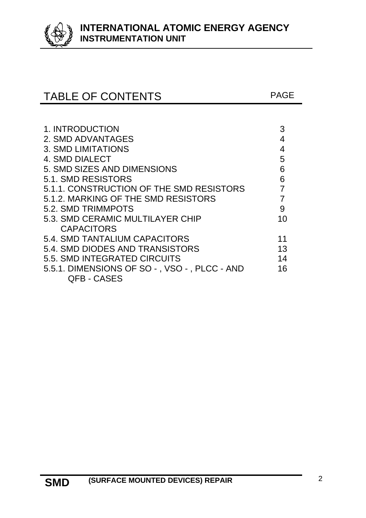

# TABLE OF CONTENTS FAGE

| 1. INTRODUCTION                              |    |
|----------------------------------------------|----|
| 2. SMD ADVANTAGES                            |    |
| <b>3. SMD LIMITATIONS</b>                    |    |
| 4. SMD DIALECT                               | 5  |
| 5. SMD SIZES AND DIMENSIONS                  | 6  |
| 5.1. SMD RESISTORS                           | 6  |
| 5.1.1. CONSTRUCTION OF THE SMD RESISTORS     |    |
| 5.1.2. MARKING OF THE SMD RESISTORS          |    |
| 5.2. SMD TRIMMPOTS                           | 9  |
| 5.3. SMD CERAMIC MULTILAYER CHIP             | 10 |
| <b>CAPACITORS</b>                            |    |
| 5.4. SMD TANTALIUM CAPACITORS                | 11 |
| 5.4. SMD DIODES AND TRANSISTORS              | 13 |
| 5.5. SMD INTEGRATED CIRCUITS                 | 14 |
| 5.5.1. DIMENSIONS OF SO -, VSO -, PLCC - AND | 16 |
| <b>QFB - CASES</b>                           |    |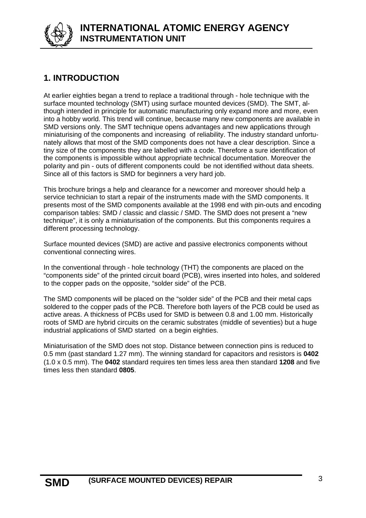

# **1. INTRODUCTION**

At earlier eighties began a trend to replace a traditional through - hole technique with the surface mounted technology (SMT) using surface mounted devices (SMD). The SMT, although intended in principle for automatic manufacturing only expand more and more, even into a hobby world. This trend will continue, because many new components are available in SMD versions only. The SMT technique opens advantages and new applications through miniaturising of the components and increasing of reliability. The industry standard unfortunately allows that most of the SMD components does not have a clear description. Since a tiny size of the components they are labelled with a code. Therefore a sure identification of the components is impossible without appropriate technical documentation. Moreover the polarity and pin - outs of different components could be not identified without data sheets. Since all of this factors is SMD for beginners a very hard job.

This brochure brings a help and clearance for a newcomer and moreover should help a service technician to start a repair of the instruments made with the SMD components. It presents most of the SMD components available at the 1998 end with pin-outs and encoding comparison tables: SMD / classic and classic / SMD. The SMD does not present a "new technique", it is only a miniaturisation of the components. But this components requires a different processing technology.

Surface mounted devices (SMD) are active and passive electronics components without conventional connecting wires.

In the conventional through - hole technology (THT) the components are placed on the "components side" of the printed circuit board (PCB), wires inserted into holes, and soldered to the copper pads on the opposite, "solder side" of the PCB.

The SMD components will be placed on the "solder side" of the PCB and their metal caps soldered to the copper pads of the PCB. Therefore both layers of the PCB could be used as active areas. A thickness of PCBs used for SMD is between 0.8 and 1.00 mm. Historically roots of SMD are hybrid circuits on the ceramic substrates (middle of seventies) but a huge industrial applications of SMD started on a begin eighties.

Miniaturisation of the SMD does not stop. Distance between connection pins is reduced to 0.5 mm (past standard 1.27 mm). The winning standard for capacitors and resistors is **0402** (1.0 x 0.5 mm). The **0402** standard requires ten times less area then standard **1208** and five times less then standard **0805**.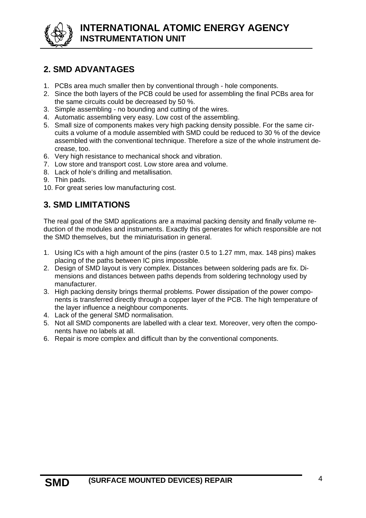

# **2. SMD ADVANTAGES**

- 1. PCBs area much smaller then by conventional through hole components.
- 2. Since the both layers of the PCB could be used for assembling the final PCBs area for the same circuits could be decreased by 50 %.
- 3. Simple assembling no bounding and cutting of the wires.
- 4. Automatic assembling very easy. Low cost of the assembling.
- 5. Small size of components makes very high packing density possible. For the same circuits a volume of a module assembled with SMD could be reduced to 30 % of the device assembled with the conventional technique. Therefore a size of the whole instrument decrease, too.
- 6. Very high resistance to mechanical shock and vibration.
- 7. Low store and transport cost. Low store area and volume.
- 8. Lack of hole's drilling and metallisation.
- 9. Thin pads.
- 10. For great series low manufacturing cost.

# **3. SMD LIMITATIONS**

The real goal of the SMD applications are a maximal packing density and finally volume reduction of the modules and instruments. Exactly this generates for which responsible are not the SMD themselves, but the miniaturisation in general.

- 1. Using ICs with a high amount of the pins (raster 0.5 to 1.27 mm, max. 148 pins) makes placing of the paths between IC pins impossible.
- 2. Design of SMD layout is very complex. Distances between soldering pads are fix. Dimensions and distances between paths depends from soldering technology used by manufacturer.
- 3. High packing density brings thermal problems. Power dissipation of the power components is transferred directly through a copper layer of the PCB. The high temperature of the layer influence a neighbour components.
- 4. Lack of the general SMD normalisation.
- 5. Not all SMD components are labelled with a clear text. Moreover, very often the components have no labels at all.
- 6. Repair is more complex and difficult than by the conventional components.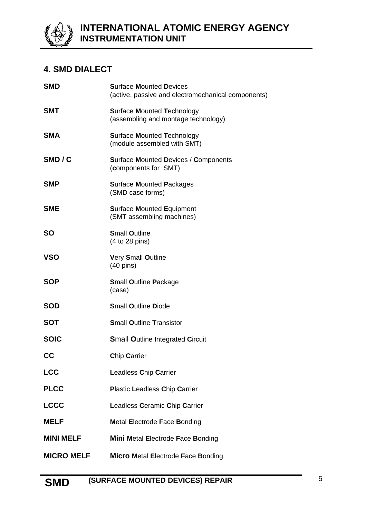

# **4. SMD DIALECT**

| <b>SMD</b>        | <b>Surface Mounted Devices</b><br>(active, passive and electromechanical components) |
|-------------------|--------------------------------------------------------------------------------------|
| <b>SMT</b>        | <b>Surface Mounted Technology</b><br>(assembling and montage technology)             |
| <b>SMA</b>        | <b>Surface Mounted Technology</b><br>(module assembled with SMT)                     |
| SMD/C             | <b>Surface Mounted Devices / Components</b><br>(components for SMT)                  |
| <b>SMP</b>        | <b>Surface Mounted Packages</b><br>(SMD case forms)                                  |
| <b>SME</b>        | <b>Surface Mounted Equipment</b><br>(SMT assembling machines)                        |
| <b>SO</b>         | <b>Small Outline</b><br>(4 to 28 pins)                                               |
| <b>VSO</b>        | Very Small Outline<br>$(40 \text{ pins})$                                            |
| <b>SOP</b>        | <b>Small Outline Package</b><br>(case)                                               |
| <b>SOD</b>        | <b>Small Outline Diode</b>                                                           |
| <b>SOT</b>        | <b>Small Outline Transistor</b>                                                      |
| <b>SOIC</b>       | <b>Small Outline Integrated Circuit</b>                                              |
| CC                | Chip Carrier                                                                         |
| <b>LCC</b>        | <b>Leadless Chip Carrier</b>                                                         |
| <b>PLCC</b>       | <b>Plastic Leadless Chip Carrier</b>                                                 |
| <b>LCCC</b>       | Leadless Ceramic Chip Carrier                                                        |
| <b>MELF</b>       | <b>Metal Electrode Face Bonding</b>                                                  |
| <b>MINI MELF</b>  | <b>Mini Metal Electrode Face Bonding</b>                                             |
| <b>MICRO MELF</b> | <b>Micro Metal Electrode Face Bonding</b>                                            |
|                   |                                                                                      |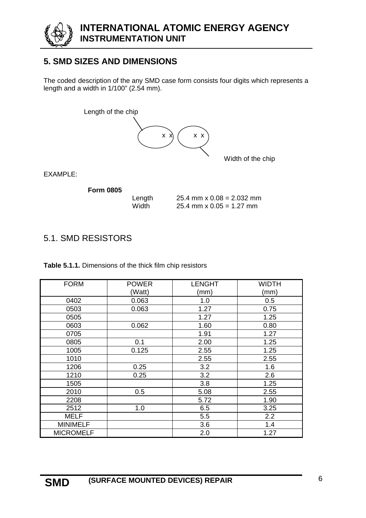

# **5. SMD SIZES AND DIMENSIONS**

The coded description of the any SMD case form consists four digits which represents a length and a width in 1/100" (2.54 mm).



EXAMPLE:

**Form 0805**

Length  $25.4 \text{ mm} \times 0.08 = 2.032 \text{ mm}$ Width 25.4 mm x 0.05 = 1.27 mm

# 5.1. SMD RESISTORS

**Table 5.1.1.** Dimensions of the thick film chip resistors

| <b>FORM</b>      | <b>POWER</b> | <b>LENGHT</b> | <b>WIDTH</b> |
|------------------|--------------|---------------|--------------|
|                  | (Watt)       | (mm)          | (mm)         |
| 0402             | 0.063        | 1.0           | 0.5          |
| 0503             | 0.063        | 1.27          | 0.75         |
| 0505             |              | 1.27          | 1.25         |
| 0603             | 0.062        | 1.60          | 0.80         |
| 0705             |              | 1.91          | 1.27         |
| 0805             | 0.1          | 2.00          | 1.25         |
| 1005             | 0.125        | 2.55          | 1.25         |
| 1010             |              | 2.55          | 2.55         |
| 1206             | 0.25         | 3.2           | 1.6          |
| 1210             | 0.25         | 3.2           | 2.6          |
| 1505             |              | 3.8           | 1.25         |
| 2010             | 0.5          | 5.08          | 2.55         |
| 2208             |              | 5.72          | 1.90         |
| 2512             | 1.0          | 6.5           | 3.25         |
| MELF             |              | 5.5           | 2.2          |
| <b>MINIMELF</b>  |              | 3.6           | 1.4          |
| <b>MICROMELF</b> |              | 2.0           | 1.27         |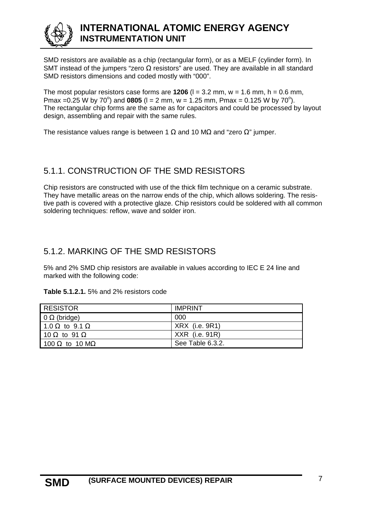

# **INTERNATIONAL ATOMIC ENERGY AGENCY INSTRUMENTATION UNIT**

SMD resistors are available as a chip (rectangular form), or as a MELF (cylinder form). In SMT instead of the jumpers "zero  $\Omega$  resistors" are used. They are available in all standard SMD resistors dimensions and coded mostly with "000".

The most popular resistors case forms are  $1206$  ( $l = 3.2$  mm,  $w = 1.6$  mm,  $h = 0.6$  mm, Pmax = 0.25 W by 70<sup>o</sup>) and **0805** ( $l = 2$  mm,  $w = 1.25$  mm, Pmax = 0.125 W by 70<sup>o</sup>). The rectangular chip forms are the same as for capacitors and could be processed by layout design, assembling and repair with the same rules.

The resistance values range is between 1  $\Omega$  and 10 M $\Omega$  and "zero  $\Omega$ " jumper.

## 5.1.1. CONSTRUCTION OF THE SMD RESISTORS

Chip resistors are constructed with use of the thick film technique on a ceramic substrate. They have metallic areas on the narrow ends of the chip, which allows soldering. The resistive path is covered with a protective glaze. Chip resistors could be soldered with all common soldering techniques: reflow, wave and solder iron.

## 5.1.2. MARKING OF THE SMD RESISTORS

5% and 2% SMD chip resistors are available in values according to IEC E 24 line and marked with the following code:

#### **Table 5.1.2.1.** 5% and 2% resistors code

| RESISTOR                      | <b>IMPRINT</b>   |
|-------------------------------|------------------|
| $\Omega$ (bridge)             | 000              |
| 1.0 $\Omega$ to 9.1 $\Omega$  | $XRX$ (i.e. 9R1) |
| 10 $\Omega$ to 91 $\Omega$    | XXR (i.e. 91R)   |
| 100 $\Omega$ to 10 M $\Omega$ | See Table 6.3.2. |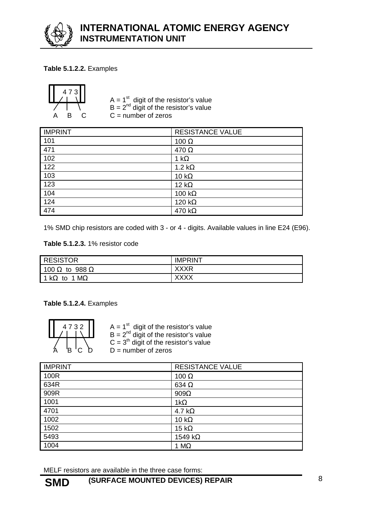

#### **Table 5.1.2.2.** Examples



 A = 1 st digit of the resistor's value B = 2nd digit of the resistor's value  $B \quad C \quad C = \text{number of zeros}$ 

| <b>IMPRINT</b> | <b>RESISTANCE VALUE</b> |
|----------------|-------------------------|
| 101            | 100 $\Omega$            |
| 471            | 470 $\Omega$            |
| 102            | 1 k $\Omega$            |
| 122            | 1.2 $k\Omega$           |
| 103            | 10 k $\Omega$           |
| 123            | 12 k $\Omega$           |
| 104            | 100 k $\Omega$          |
| 124            | 120 k $\Omega$          |
| 474            | 470 k $\Omega$          |

1% SMD chip resistors are coded with 3 - or 4 - digits. Available values in line E24 (E96).

#### **Table 5.1.2.3.** 1% resistor code

| <b>RESISTOR</b>              | <b>IMPRINT</b> |
|------------------------------|----------------|
| 100 $\Omega$ to 988 $\Omega$ | <b>XXXR</b>    |
| 1 k $\Omega$ to 1 M $\Omega$ | XXXX           |

**Table 5.1.2.4.** Examples

| 4<br>3<br>2 |  |  |  |  |  |
|-------------|--|--|--|--|--|
|             |  |  |  |  |  |

 $\begin{array}{|c|c|c|c|c|} \hline \end{array}$  4 7 3 2  $\begin{array}{|c|c|c|c|c|} \hline \end{array}$  A = 1<sup>st</sup> digit of the resistor's value B = 2nd digit of the resistor's value  $C = 3<sup>th</sup>$  digit of the resistor's value  $D =$  number of zeros

| <b>IMPRINT</b> | <b>RESISTANCE VALUE</b> |
|----------------|-------------------------|
| 100R           | 100 $\Omega$            |
| 634R           | 634 $\Omega$            |
| 909R           | $909\Omega$             |
| 1001           | $1k\Omega$              |
| 4701           | 4.7 k $\Omega$          |
| 1002           | 10 $k\Omega$            |
| 1502           | 15 k $\Omega$           |
| 5493           | 1549 k $\Omega$         |
| 1004           | 1 $M\Omega$             |

MELF resistors are available in the three case forms: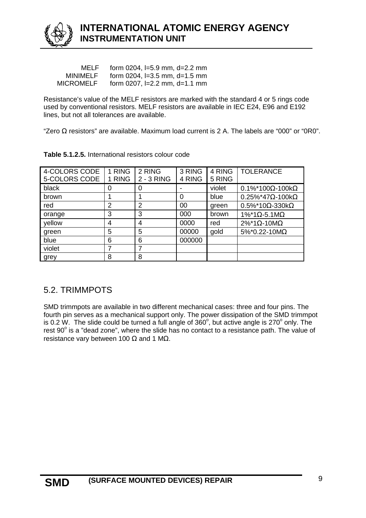

| MELF             | form $0204$ , $I=5.9$ mm, $d=2.2$ mm |
|------------------|--------------------------------------|
| MINIMELF         | form $0204$ , $I=3.5$ mm, $d=1.5$ mm |
| <b>MICROMELF</b> | form $0207$ , $I=2.2$ mm, $d=1.1$ mm |

Resistance's value of the MELF resistors are marked with the standard 4 or 5 rings code used by conventional resistors. MELF resistors are available in IEC E24, E96 and E192 lines, but not all tolerances are available.

"Zero Ω resistors" are available. Maximum load current is 2 A. The labels are "000" or "0R0".

| 4-COLORS CODE<br>5-COLORS CODE | 1 RING<br>1 RING | 2 RING<br>$2 - 3$ RING | 3 RING<br>4 RING | 4 RING<br>5 RING | <b>TOLERANCE</b>                     |
|--------------------------------|------------------|------------------------|------------------|------------------|--------------------------------------|
| black                          | 0                | 0                      |                  | violet           | $0.1\%$ *100 $\Omega$ -100k $\Omega$ |
| brown                          |                  |                        | 0                | blue             | $0.25\%$ *47 $\Omega$ -100k $\Omega$ |
| red                            | 2                | 2                      | 00               | green            | $0.5\%$ *10 $\Omega$ -330k $\Omega$  |
| orange                         | 3                | 3                      | 000              | brown            | $1\%$ *1 $\Omega$ -5.1M $\Omega$     |
| yellow                         | 4                | 4                      | 0000             | red              | $2\%$ *1 $\Omega$ -10M $\Omega$      |
| green                          | 5                | 5                      | 00000            | gold             | $5\%$ *0.22-10M $\Omega$             |
| blue                           | 6                | 6                      | 000000           |                  |                                      |
| violet                         |                  | 7                      |                  |                  |                                      |
| grey                           | 8                | 8                      |                  |                  |                                      |

|  | Table 5.1.2.5. International resistors colour code |  |  |
|--|----------------------------------------------------|--|--|
|  |                                                    |  |  |

## 5.2. TRIMMPOTS

SMD trimmpots are available in two different mechanical cases: three and four pins. The fourth pin serves as a mechanical support only. The power dissipation of the SMD trimmpot is 0.2 W. The slide could be turned a full angle of  $360^{\circ}$ , but active angle is 270 $^{\circ}$  only. The rest 90 $^{\circ}$  is a "dead zone", where the slide has no contact to a resistance path. The value of resistance vary between 100  $\Omega$  and 1 M $\Omega$ .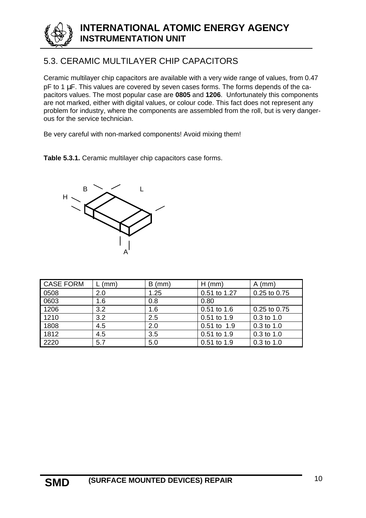

# 5.3. CERAMIC MULTILAYER CHIP CAPACITORS

Ceramic multilayer chip capacitors are available with a very wide range of values, from 0.47 pF to 1 μF. This values are covered by seven cases forms. The forms depends of the capacitors values. The most popular case are **0805** and **1206**. Unfortunately this components are not marked, either with digital values, or colour code. This fact does not represent any problem for industry, where the components are assembled from the roll, but is very dangerous for the service technician.

Be very careful with non-marked components! Avoid mixing them!

**Table 5.3.1.** Ceramic multilayer chip capacitors case forms.



| <b>CASE FORM</b> | (mm) | $B$ (mm) | $H$ (mm)     | $A$ (mm)     |
|------------------|------|----------|--------------|--------------|
| 0508             | 2.0  | 1.25     | 0.51 to 1.27 | 0.25 to 0.75 |
| 0603             | 1.6  | 0.8      | 0.80         |              |
| 1206             | 3.2  | 1.6      | 0.51 to 1.6  | 0.25 to 0.75 |
| 1210             | 3.2  | 2.5      | 0.51 to 1.9  | $0.3$ to 1.0 |
| 1808             | 4.5  | 2.0      | 0.51 to 1.9  | $0.3$ to 1.0 |
| 1812             | 4.5  | 3.5      | 0.51 to 1.9  | $0.3$ to 1.0 |
| 2220             | 5.7  | 5.0      | 0.51 to 1.9  | 0.3 to 1.0   |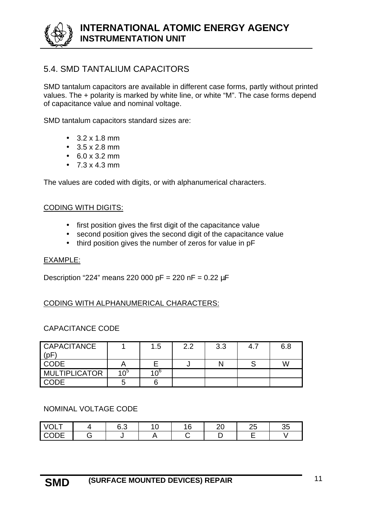## 5.4. SMD TANTALIUM CAPACITORS

SMD tantalum capacitors are available in different case forms, partly without printed values. The + polarity is marked by white line, or white "M". The case forms depend of capacitance value and nominal voltage.

SMD tantalum capacitors standard sizes are:

- $3.2 \times 1.8 \text{ mm}$
- $\bullet$  3.5 x 2.8 mm
- 6.0 x 3.2 mm
- $7.3 \times 4.3 \text{ mm}$

The values are coded with digits, or with alphanumerical characters.

#### CODING WITH DIGITS:

- first position gives the first digit of the capacitance value
- second position gives the second digit of the capacitance value
- third position gives the number of zeros for value in pF

#### EXAMPLE:

Description "224" means 220 000 pF = 220 nF = 0.22 μF

#### CODING WITH ALPHANUMERICAL CHARACTERS:

#### CAPACITANCE CODE

| <b>CAPACITANCE</b><br>(pF |                 | 1.5          | 2.2 | 3.3 | 4.7 | 6.8 |
|---------------------------|-----------------|--------------|-----|-----|-----|-----|
| <b>CODE</b>               |                 |              |     |     |     | W   |
| <b>MULTIPLICATOR</b>      | 10 <sup>5</sup> | $10^{\circ}$ |     |     |     |     |
| <b>CODE</b>               |                 |              |     |     |     |     |

#### NOMINAL VOLTAGE CODE

| <u>'ULT</u>                  | $\overline{\phantom{a}}$<br>∪.∪ | l C<br>. v | $\sim$ | $\sim$ $\sim$<br>∼ | ົ<br>35 |
|------------------------------|---------------------------------|------------|--------|--------------------|---------|
| $\cap$<br>-<br>·◡ <i>◡</i> └ |                                 |            |        |                    |         |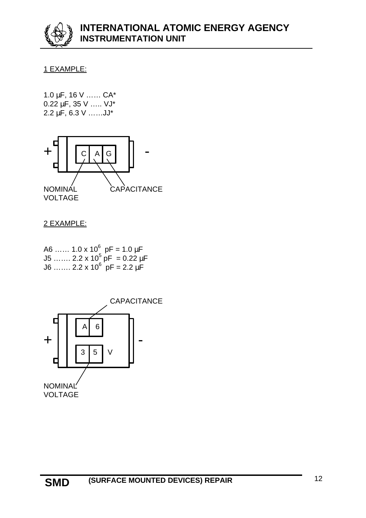#### 1 EXAMPLE:

1.0 μF, 16 V …… CA\* 0.22 μF, 35 V ….. VJ\* 2.2 μF, 6.3 V ……JJ\*



#### 2 EXAMPLE:

A6 …… 1.0 x 10 $^6\,$  pF = 1.0 μF J5 ……. 2.2 x 10<sup>5</sup> pF  $= 0.22$  μF J6 ……. 2.2 x 10<sup>6</sup> pF = 2.2 μF

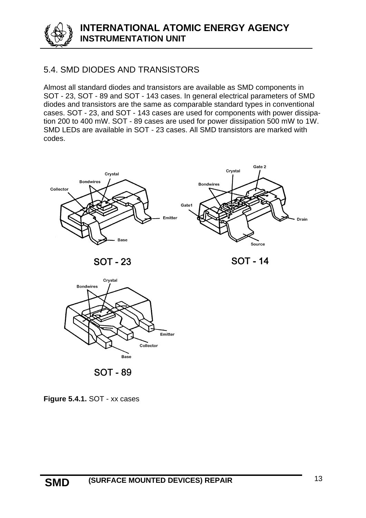

# 5.4. SMD DIODES AND TRANSISTORS

Almost all standard diodes and transistors are available as SMD components in SOT - 23, SOT - 89 and SOT - 143 cases. In general electrical parameters of SMD diodes and transistors are the same as comparable standard types in conventional cases. SOT - 23, and SOT - 143 cases are used for components with power dissipation 200 to 400 mW. SOT - 89 cases are used for power dissipation 500 mW to 1W. SMD LEDs are available in SOT - 23 cases. All SMD transistors are marked with codes.





**SOT - 89** 

**Figure 5.4.1.** SOT - xx cases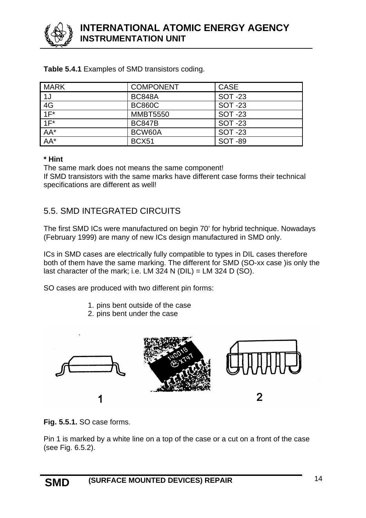

| <b>MARK</b> | <b>COMPONENT</b> | <b>CASE</b>    |
|-------------|------------------|----------------|
| 1J          | <b>BC848A</b>    | <b>SOT -23</b> |
| 4G          | <b>BC860C</b>    | <b>SOT -23</b> |
| $1F^*$      | <b>MMBT5550</b>  | <b>SOT -23</b> |
| $1F^*$      | <b>BC847B</b>    | <b>SOT -23</b> |
| AA*         | BCW60A           | <b>SOT -23</b> |
| $AA^*$      | <b>BCX51</b>     | <b>SOT -89</b> |

**Table 5.4.1** Examples of SMD transistors coding.

#### **\* Hint**

The same mark does not means the same component! If SMD transistors with the same marks have different case forms their technical specifications are different as well!

#### 5.5. SMD INTEGRATED CIRCUITS

The first SMD ICs were manufactured on begin 70' for hybrid technique. Nowadays (February 1999) are many of new ICs design manufactured in SMD only.

ICs in SMD cases are electrically fully compatible to types in DIL cases therefore both of them have the same marking. The different for SMD (SO-xx case )is only the last character of the mark; i.e. LM 324 N (DIL) = LM 324 D (SO).

SO cases are produced with two different pin forms:

- 1. pins bent outside of the case
- 2. pins bent under the case



**Fig. 5.5.1.** SO case forms.

Pin 1 is marked by a white line on a top of the case or a cut on a front of the case (see Fig. 6.5.2).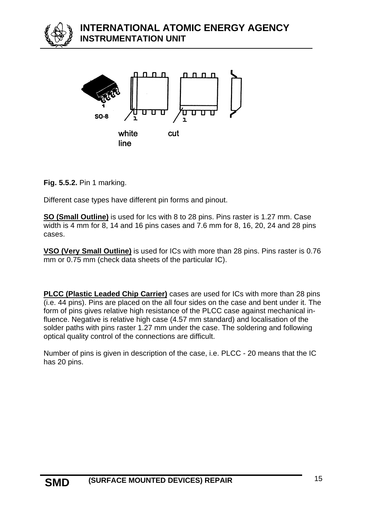**INTERNATIONAL ATOMIC ENERGY AGENCY INSTRUMENTATION UNIT**



**Fig. 5.5.2.** Pin 1 marking.

Different case types have different pin forms and pinout.

**SO (Small Outline)** is used for Ics with 8 to 28 pins. Pins raster is 1.27 mm. Case width is 4 mm for 8, 14 and 16 pins cases and 7.6 mm for 8, 16, 20, 24 and 28 pins cases.

**VSO (Very Small Outline)** is used for ICs with more than 28 pins. Pins raster is 0.76 mm or 0.75 mm (check data sheets of the particular IC).

**PLCC (Plastic Leaded Chip Carrier)** cases are used for ICs with more than 28 pins (i.e. 44 pins). Pins are placed on the all four sides on the case and bent under it. The form of pins gives relative high resistance of the PLCC case against mechanical influence. Negative is relative high case (4.57 mm standard) and localisation of the solder paths with pins raster 1.27 mm under the case. The soldering and following optical quality control of the connections are difficult.

Number of pins is given in description of the case, i.e. PLCC - 20 means that the IC has 20 pins.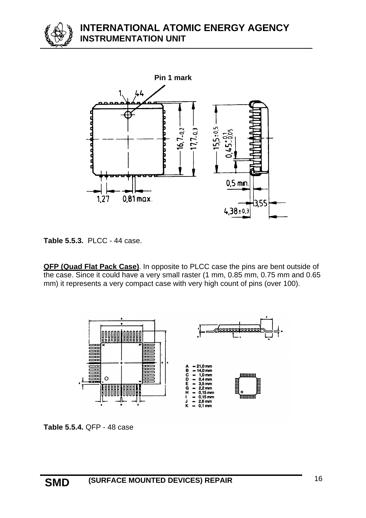



**Table 5.5.3.** PLCC - 44 case.

**QFP (Quad Flat Pack Case)**. In opposite to PLCC case the pins are bent outside of the case. Since it could have a very small raster (1 mm, 0.85 mm, 0.75 mm and 0.65 mm) it represents a very compact case with very high count of pins (over 100).



**Table 5.5.4.** QFP - 48 case